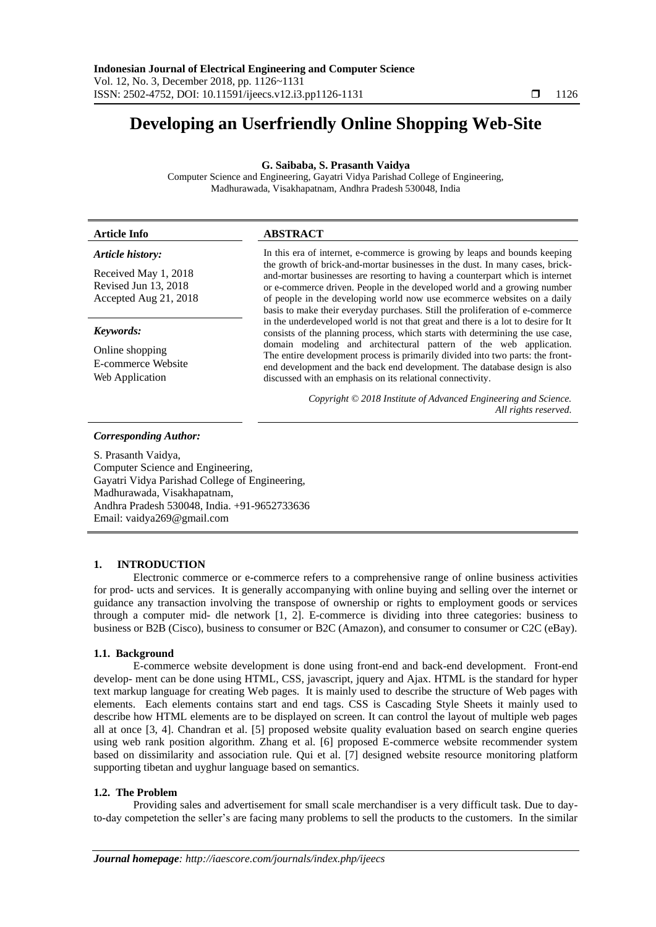# **Developing an Userfriendly Online Shopping Web-Site**

**G. Saibaba, S. Prasanth Vaidya**

Computer Science and Engineering, Gayatri Vidya Parishad College of Engineering, Madhurawada, Visakhapatnam, Andhra Pradesh 530048, India

| <b>Article Info</b>                                                   | <b>ABSTRACT</b>                                                                                                                                                                                                                                                                                                                                                                                                                                                                                                                                                                                                                                                                                                                                                                                                                                                                                                                                             |
|-----------------------------------------------------------------------|-------------------------------------------------------------------------------------------------------------------------------------------------------------------------------------------------------------------------------------------------------------------------------------------------------------------------------------------------------------------------------------------------------------------------------------------------------------------------------------------------------------------------------------------------------------------------------------------------------------------------------------------------------------------------------------------------------------------------------------------------------------------------------------------------------------------------------------------------------------------------------------------------------------------------------------------------------------|
| Article history:                                                      | In this era of internet, e-commerce is growing by leaps and bounds keeping<br>the growth of brick-and-mortar businesses in the dust. In many cases, brick-<br>and-mortar businesses are resorting to having a counterpart which is internet<br>or e-commerce driven. People in the developed world and a growing number<br>of people in the developing world now use ecommerce websites on a daily<br>basis to make their everyday purchases. Still the proliferation of e-commerce<br>in the underdeveloped world is not that great and there is a lot to desire for It<br>consists of the planning process, which starts with determining the use case,<br>domain modeling and architectural pattern of the web application.<br>The entire development process is primarily divided into two parts: the front-<br>end development and the back end development. The database design is also<br>discussed with an emphasis on its relational connectivity. |
| Received May 1, 2018<br>Revised Jun 13, 2018<br>Accepted Aug 21, 2018 |                                                                                                                                                                                                                                                                                                                                                                                                                                                                                                                                                                                                                                                                                                                                                                                                                                                                                                                                                             |
| Keywords:                                                             |                                                                                                                                                                                                                                                                                                                                                                                                                                                                                                                                                                                                                                                                                                                                                                                                                                                                                                                                                             |
| Online shopping<br>E-commerce Website<br>Web Application              |                                                                                                                                                                                                                                                                                                                                                                                                                                                                                                                                                                                                                                                                                                                                                                                                                                                                                                                                                             |
|                                                                       | Copyright © 2018 Institute of Advanced Engineering and Science.                                                                                                                                                                                                                                                                                                                                                                                                                                                                                                                                                                                                                                                                                                                                                                                                                                                                                             |

*Corresponding Author:*

S. Prasanth Vaidya, Computer Science and Engineering, Gayatri Vidya Parishad College of Engineering, Madhurawada, Visakhapatnam, Andhra Pradesh 530048, India. +91-9652733636 Email: vaidya269@gmail.com

# **1. INTRODUCTION**

Electronic commerce or e-commerce refers to a comprehensive range of online business activities for prod- ucts and services. It is generally accompanying with online buying and selling over the internet or guidance any transaction involving the transpose of ownership or rights to employment goods or services through a computer mid- dle network [1, 2]. E-commerce is dividing into three categories: business to business or B2B (Cisco), business to consumer or B2C (Amazon), and consumer to consumer or C2C (eBay).

## **1.1. Background**

E-commerce website development is done using front-end and back-end development. Front-end develop- ment can be done using HTML, CSS, javascript, jquery and Ajax. HTML is the standard for hyper text markup language for creating Web pages. It is mainly used to describe the structure of Web pages with elements. Each elements contains start and end tags. CSS is Cascading Style Sheets it mainly used to describe how HTML elements are to be displayed on screen. It can control the layout of multiple web pages all at once [3, 4]. Chandran et al. [5] proposed website quality evaluation based on search engine queries using web rank position algorithm. Zhang et al. [6] proposed E-commerce website recommender system based on dissimilarity and association rule. Qui et al. [7] designed website resource monitoring platform supporting tibetan and uyghur language based on semantics.

# **1.2. The Problem**

Providing sales and advertisement for small scale merchandiser is a very difficult task. Due to dayto-day competetion the seller's are facing many problems to sell the products to the customers. In the similar

*All rights reserved.*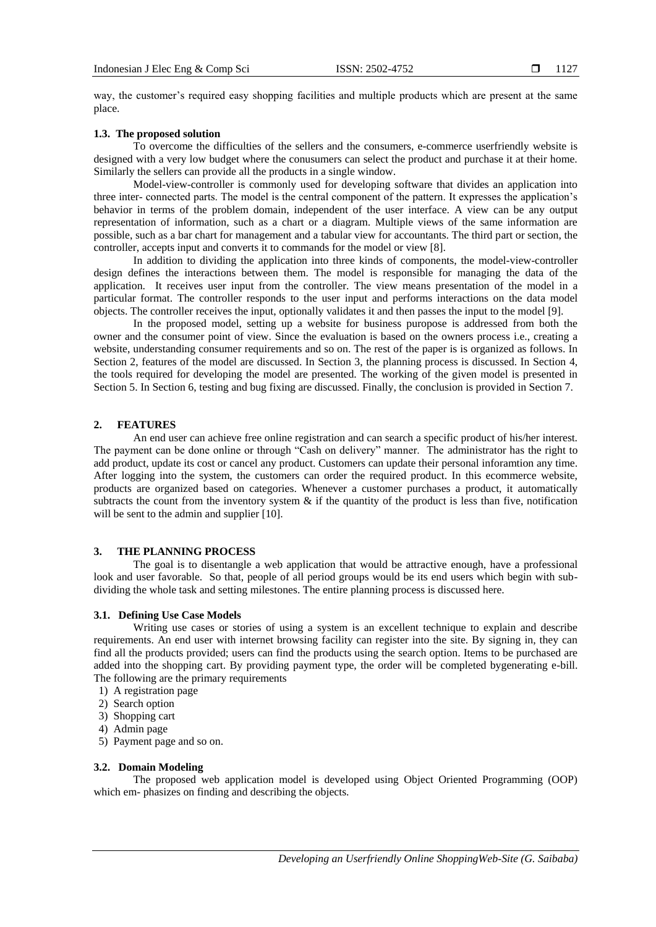way, the customer's required easy shopping facilities and multiple products which are present at the same place.

# **1.3. The proposed solution**

To overcome the difficulties of the sellers and the consumers, e-commerce userfriendly website is designed with a very low budget where the conusumers can select the product and purchase it at their home. Similarly the sellers can provide all the products in a single window.

Model-view-controller is commonly used for developing software that divides an application into three inter- connected parts. The model is the central component of the pattern. It expresses the application's behavior in terms of the problem domain, independent of the user interface. A view can be any output representation of information, such as a chart or a diagram. Multiple views of the same information are possible, such as a bar chart for management and a tabular view for accountants. The third part or section, the controller, accepts input and converts it to commands for the model or view [8].

In addition to dividing the application into three kinds of components, the model-view-controller design defines the interactions between them. The model is responsible for managing the data of the application. It receives user input from the controller. The view means presentation of the model in a particular format. The controller responds to the user input and performs interactions on the data model objects. The controller receives the input, optionally validates it and then passes the input to the model [9].

In the proposed model, setting up a website for business puropose is addressed from both the owner and the consumer point of view. Since the evaluation is based on the owners process i.e., creating a website, understanding consumer requirements and so on. The rest of the paper is is organized as follows. In Section 2, features of the model are discussed. In Section 3, the planning process is discussed. In Section 4, the tools required for developing the model are presented. The working of the given model is presented in Section 5. In Section 6, testing and bug fixing are discussed. Finally, the conclusion is provided in Section 7.

# **2. FEATURES**

An end user can achieve free online registration and can search a specific product of his/her interest. The payment can be done online or through "Cash on delivery" manner. The administrator has the right to add product, update its cost or cancel any product. Customers can update their personal inforamtion any time. After logging into the system, the customers can order the required product. In this ecommerce website, products are organized based on categories. Whenever a customer purchases a product, it automatically subtracts the count from the inventory system  $\&$  if the quantity of the product is less than five, notification will be sent to the admin and supplier [10].

# **3. THE PLANNING PROCESS**

The goal is to disentangle a web application that would be attractive enough, have a professional look and user favorable. So that, people of all period groups would be its end users which begin with subdividing the whole task and setting milestones. The entire planning process is discussed here.

# **3.1. Defining Use Case Models**

Writing use cases or stories of using a system is an excellent technique to explain and describe requirements. An end user with internet browsing facility can register into the site. By signing in, they can find all the products provided; users can find the products using the search option. Items to be purchased are added into the shopping cart. By providing payment type, the order will be completed bygenerating e-bill. The following are the primary requirements

- 1) A registration page
- 2) Search option
- 3) Shopping cart
- 4) Admin page
- 5) Payment page and so on.

# **3.2. Domain Modeling**

The proposed web application model is developed using Object Oriented Programming (OOP) which em- phasizes on finding and describing the objects.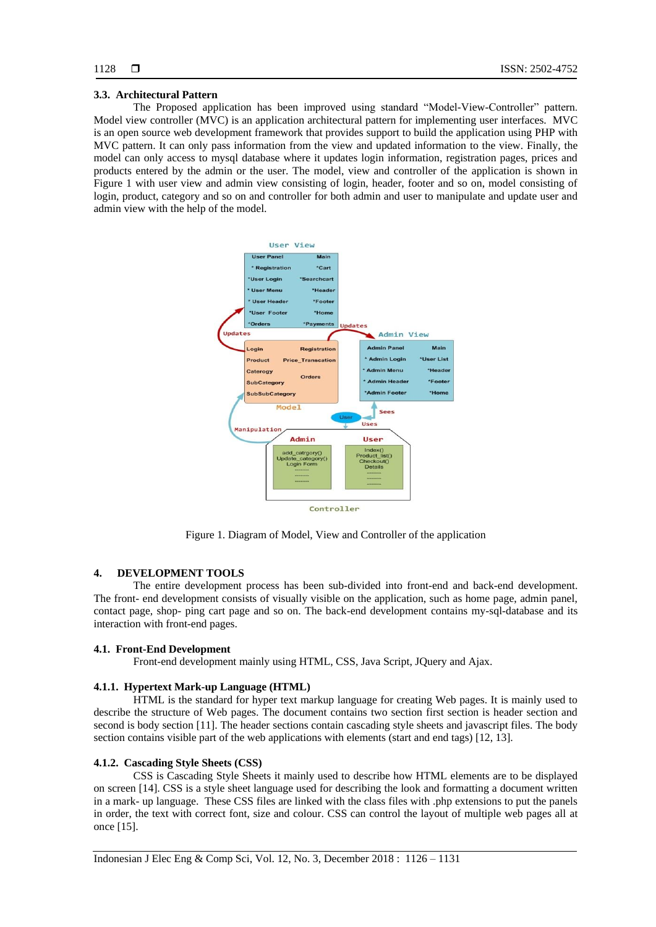#### **3.3. Architectural Pattern**

The Proposed application has been improved using standard "Model-View-Controller" pattern. Model view controller (MVC) is an application architectural pattern for implementing user interfaces. MVC is an open source web development framework that provides support to build the application using PHP with MVC pattern. It can only pass information from the view and updated information to the view. Finally, the model can only access to mysql database where it updates login information, registration pages, prices and products entered by the admin or the user. The model, view and controller of the application is shown in Figure 1 with user view and admin view consisting of login, header, footer and so on, model consisting of login, product, category and so on and controller for both admin and user to manipulate and update user and admin view with the help of the model.



Figure 1. Diagram of Model, View and Controller of the application

# **4. DEVELOPMENT TOOLS**

The entire development process has been sub-divided into front-end and back-end development. The front- end development consists of visually visible on the application, such as home page, admin panel, contact page, shop- ping cart page and so on. The back-end development contains my-sql-database and its interaction with front-end pages.

#### **4.1. Front-End Development**

Front-end development mainly using HTML, CSS, Java Script, JQuery and Ajax.

#### **4.1.1. Hypertext Mark-up Language (HTML)**

HTML is the standard for hyper text markup language for creating Web pages. It is mainly used to describe the structure of Web pages. The document contains two section first section is header section and second is body section [11]. The header sections contain cascading style sheets and javascript files. The body section contains visible part of the web applications with elements (start and end tags) [12, 13].

## **4.1.2. Cascading Style Sheets (CSS)**

CSS is Cascading Style Sheets it mainly used to describe how HTML elements are to be displayed on screen [14]. CSS is a style sheet language used for describing the look and formatting a document written in a mark- up language. These CSS files are linked with the class files with .php extensions to put the panels in order, the text with correct font, size and colour. CSS can control the layout of multiple web pages all at once [15].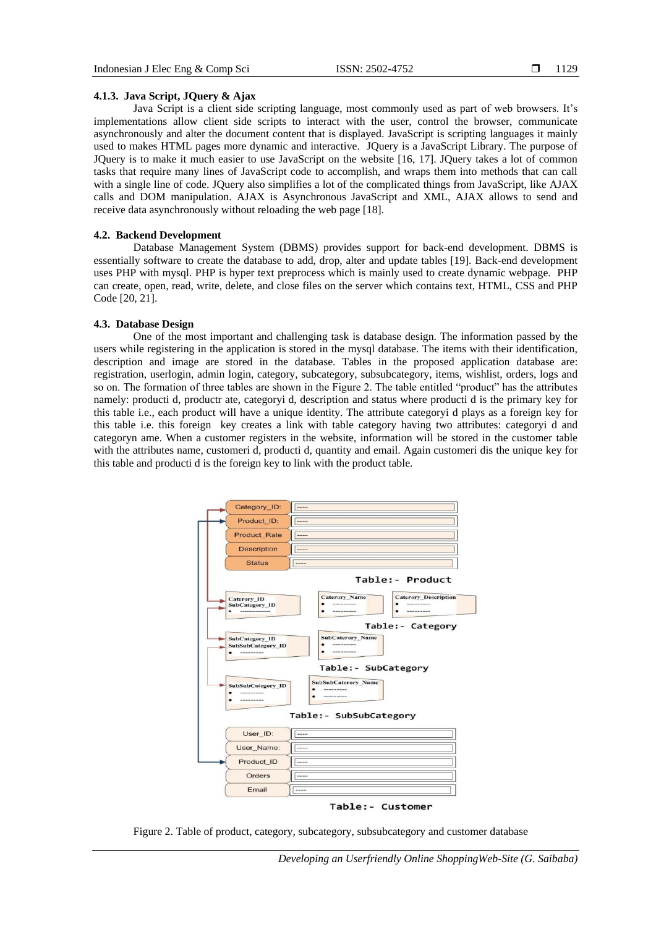# **4.1.3. Java Script, JQuery & Ajax**

Java Script is a client side scripting language, most commonly used as part of web browsers. It's implementations allow client side scripts to interact with the user, control the browser, communicate asynchronously and alter the document content that is displayed. JavaScript is scripting languages it mainly used to makes HTML pages more dynamic and interactive. JQuery is a JavaScript Library. The purpose of JQuery is to make it much easier to use JavaScript on the website [16, 17]. JQuery takes a lot of common tasks that require many lines of JavaScript code to accomplish, and wraps them into methods that can call with a single line of code. JQuery also simplifies a lot of the complicated things from JavaScript, like AJAX calls and DOM manipulation. AJAX is Asynchronous JavaScript and XML, AJAX allows to send and receive data asynchronously without reloading the web page [18].

# **4.2. Backend Development**

Database Management System (DBMS) provides support for back-end development. DBMS is essentially software to create the database to add, drop, alter and update tables [19]. Back-end development uses PHP with mysql. PHP is hyper text preprocess which is mainly used to create dynamic webpage. PHP can create, open, read, write, delete, and close files on the server which contains text, HTML, CSS and PHP Code [20, 21].

#### **4.3. Database Design**

One of the most important and challenging task is database design. The information passed by the users while registering in the application is stored in the mysql database. The items with their identification, description and image are stored in the database. Tables in the proposed application database are: registration, userlogin, admin login, category, subcategory, subsubcategory, items, wishlist, orders, logs and so on. The formation of three tables are shown in the Figure 2. The table entitled "product" has the attributes namely: producti d, productr ate, categoryi d, description and status where producti d is the primary key for this table i.e., each product will have a unique identity. The attribute categoryi d plays as a foreign key for this table i.e. this foreign key creates a link with table category having two attributes: categoryi d and categoryn ame. When a customer registers in the website, information will be stored in the customer table with the attributes name, customeri d, producti d, quantity and email. Again customeri dis the unique key for this table and producti d is the foreign key to link with the product table.



Figure 2. Table of product, category, subcategory, subsubcategory and customer database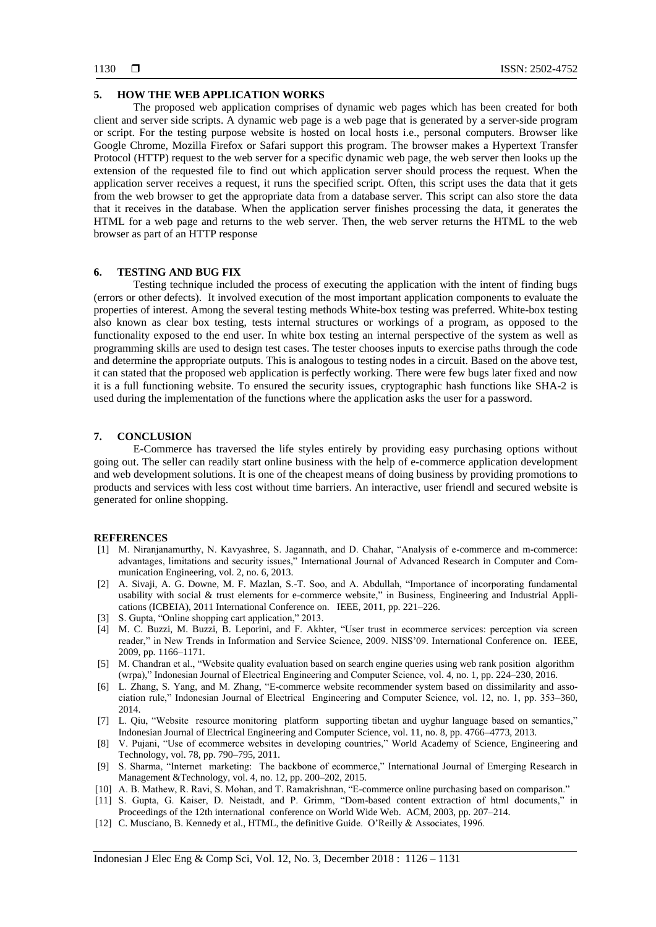## **5. HOW THE WEB APPLICATION WORKS**

The proposed web application comprises of dynamic web pages which has been created for both client and server side scripts. A dynamic web page is a web page that is generated by a server-side program or script. For the testing purpose website is hosted on local hosts i.e., personal computers. Browser like Google Chrome, Mozilla Firefox or Safari support this program. The browser makes a Hypertext Transfer Protocol (HTTP) request to the web server for a specific dynamic web page, the web server then looks up the extension of the requested file to find out which application server should process the request. When the application server receives a request, it runs the specified script. Often, this script uses the data that it gets from the web browser to get the appropriate data from a database server. This script can also store the data that it receives in the database. When the application server finishes processing the data, it generates the HTML for a web page and returns to the web server. Then, the web server returns the HTML to the web browser as part of an HTTP response

# **6. TESTING AND BUG FIX**

Testing technique included the process of executing the application with the intent of finding bugs (errors or other defects). It involved execution of the most important application components to evaluate the properties of interest. Among the several testing methods White-box testing was preferred. White-box testing also known as clear box testing, tests internal structures or workings of a program, as opposed to the functionality exposed to the end user. In white box testing an internal perspective of the system as well as programming skills are used to design test cases. The tester chooses inputs to exercise paths through the code and determine the appropriate outputs. This is analogous to testing nodes in a circuit. Based on the above test, it can stated that the proposed web application is perfectly working. There were few bugs later fixed and now it is a full functioning website. To ensured the security issues, cryptographic hash functions like SHA-2 is used during the implementation of the functions where the application asks the user for a password.

## **7. CONCLUSION**

E-Commerce has traversed the life styles entirely by providing easy purchasing options without going out. The seller can readily start online business with the help of e-commerce application development and web development solutions. It is one of the cheapest means of doing business by providing promotions to products and services with less cost without time barriers. An interactive, user friendl and secured website is generated for online shopping.

## **REFERENCES**

- [1] M. Niranjanamurthy, N. Kavyashree, S. Jagannath, and D. Chahar, "Analysis of e-commerce and m-commerce: advantages, limitations and security issues," International Journal of Advanced Research in Computer and Communication Engineering, vol. 2, no. 6, 2013.
- [2] A. Sivaji, A. G. Downe, M. F. Mazlan, S.-T. Soo, and A. Abdullah, "Importance of incorporating fundamental usability with social & trust elements for e-commerce website," in Business, Engineering and Industrial Applications (ICBEIA), 2011 International Conference on. IEEE, 2011, pp. 221–226.
- [3] S. Gupta, "Online shopping cart application," 2013.
- [4] M. C. Buzzi, M. Buzzi, B. Leporini, and F. Akhter, "User trust in ecommerce services: perception via screen reader," in New Trends in Information and Service Science, 2009. NISS'09. International Conference on. IEEE, 2009, pp. 1166–1171.
- [5] M. Chandran et al., "Website quality evaluation based on search engine queries using web rank position algorithm (wrpa)," Indonesian Journal of Electrical Engineering and Computer Science, vol. 4, no. 1, pp. 224–230, 2016.
- [6] L. Zhang, S. Yang, and M. Zhang, "E-commerce website recommender system based on dissimilarity and association rule," Indonesian Journal of Electrical Engineering and Computer Science, vol. 12, no. 1, pp. 353–360, 2014.
- [7] L. Qiu, "Website resource monitoring platform supporting tibetan and uyghur language based on semantics," Indonesian Journal of Electrical Engineering and Computer Science, vol. 11, no. 8, pp. 4766–4773, 2013.
- [8] V. Pujani, "Use of ecommerce websites in developing countries," World Academy of Science, Engineering and Technology, vol. 78, pp. 790–795, 2011.
- [9] S. Sharma, "Internet marketing: The backbone of ecommerce," International Journal of Emerging Research in Management &Technology, vol. 4, no. 12, pp. 200–202, 2015.
- [10] A. B. Mathew, R. Ravi, S. Mohan, and T. Ramakrishnan, "E-commerce online purchasing based on comparison."
- [11] S. Gupta, G. Kaiser, D. Neistadt, and P. Grimm, "Dom-based content extraction of html documents," in Proceedings of the 12th international conference on World Wide Web. ACM, 2003, pp. 207–214.
- [12] C. Musciano, B. Kennedy et al., HTML, the definitive Guide. O'Reilly & Associates, 1996.